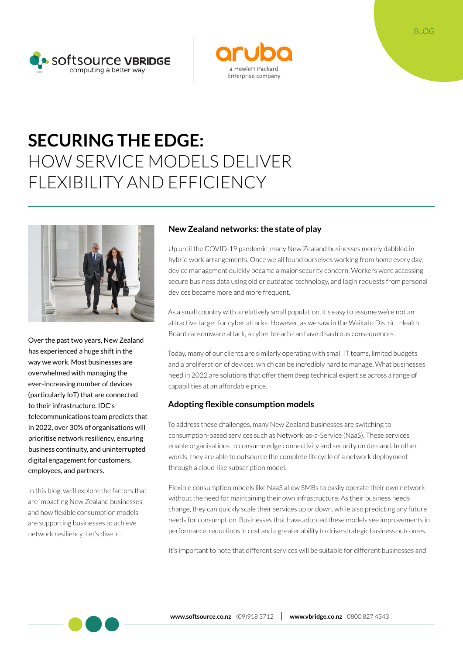



# **SECURING THE EDGE:**  HOW SERVICE MODELS DELIVER FLEXIBILITY AND EFFICIENCY



Over the past two years, New Zealand has experienced a huge shift in the way we work. Most businesses are overwhelmed with managing the ever-increasing number of devices (particularly IoT) that are connected to their infrastructure. IDC's telecommunications team predicts that in 2022, over 30% of organisations will prioritise network resiliency, ensuring business continuity, and uninterrupted digital engagement for customers, employees, and partners.

In this blog, we'll explore the factors that are impacting New Zealand businesses, and how flexible consumption models are supporting businesses to achieve network resiliency. Let's dive in.

### **New Zealand networks: the state of play**

Up until the COVID-19 pandemic, many New Zealand businesses merely dabbled in hybrid work arrangements. Once we all found ourselves working from home every day, device management quickly became a major security concern. Workers were accessing secure business data using old or outdated technology, and login requests from personal devices became more and more frequent.

As a small country with a relatively small population, it's easy to assume we're not an attractive target for cyber attacks. However, as we saw in the Waikato District Health Board ransomware attack, a cyber breach can have disastrous consequences.

Today, many of our clients are similarly operating with small IT teams, limited budgets and a proliferation of devices, which can be incredibly hard to manage. What businesses need in 2022 are solutions that offer them deep technical expertise across a range of capabilities at an affordable price.

## **Adopting flexible consumption models**

To address these challenges, many New Zealand businesses are switching to consumption-based services such as Network-as-a-Service (NaaS). These services enable organisations to consume edge connectivity and security on demand. In other words, they are able to outsource the complete lifecycle of a network deployment through a cloud-like subscription model.

Flexible consumption models like NaaS allow SMBs to easily operate their own network without the need for maintaining their own infrastructure. As their business needs change, they can quickly scale their services up or down, while also predicting any future needs for consumption. Businesses that have adopted these models see improvements in performance, reductions in cost and a greater ability to drive strategic business outcomes.

It's important to note that different services will be suitable for different businesses and